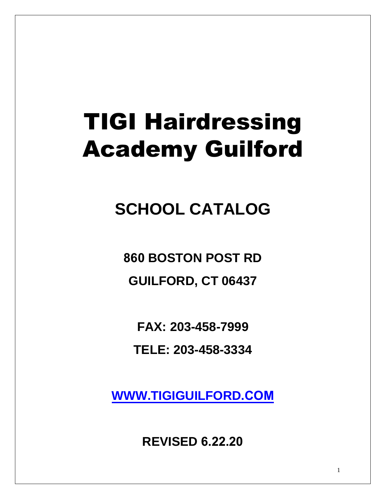# TIGI Hairdressing Academy Guilford

**SCHOOL CATALOG** 

**860 BOSTON POST RD GUILFORD, CT 06437**

**FAX: 203-458-7999**

**TELE: 203-458-3334** 

**WWW.TIGIGUILFORD.COM**

**REVISED 6.22.20**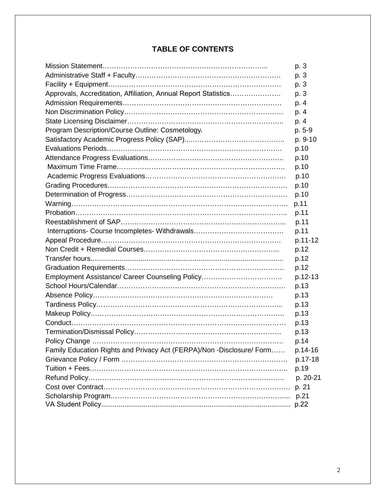# **TABLE OF CONTENTS**

|                                                                       | p. 3     |
|-----------------------------------------------------------------------|----------|
|                                                                       | p. 3     |
|                                                                       | p. 3     |
| Approvals, Accreditation, Affiliation, Annual Report Statistics       | p. 3     |
|                                                                       | p. 4     |
|                                                                       | p. 4     |
|                                                                       | p. 4     |
| Program Description/Course Outline: Cosmetology,                      | p. 5-9   |
|                                                                       | p. 9-10  |
|                                                                       | p.10     |
|                                                                       | p.10     |
|                                                                       | p.10     |
|                                                                       | p.10     |
|                                                                       | p.10     |
|                                                                       | p.10     |
|                                                                       | p.11     |
|                                                                       | p.11     |
|                                                                       | p.11     |
|                                                                       | p.11     |
|                                                                       | p.11-12  |
|                                                                       | p.12     |
|                                                                       | p.12     |
|                                                                       | p.12     |
| Employment Assistance/ Career Counseling Policy                       | p.12-13  |
|                                                                       | p.13     |
|                                                                       | p.13     |
|                                                                       | p.13     |
|                                                                       | p.13     |
|                                                                       | p.13     |
|                                                                       | p.13     |
|                                                                       | p.14     |
| Family Education Rights and Privacy Act (FERPA)/Non -Disclosure/ Form | p.14-16  |
|                                                                       | p.17-18  |
|                                                                       | p.19     |
|                                                                       | p. 20-21 |
|                                                                       | p. 21    |
|                                                                       | p.21     |
|                                                                       |          |
|                                                                       |          |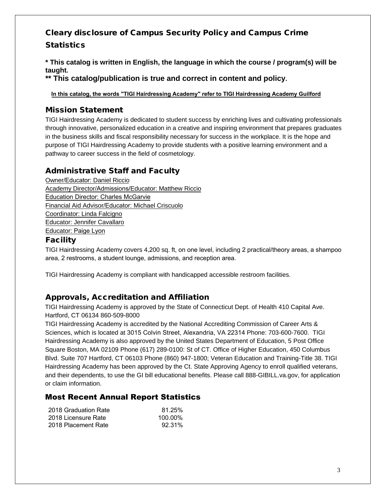# Cleary disclosure of Campus Security Policy and Campus Crime **Statistics**

**\* This catalog is written in English, the language in which the course / program(s) will be taught.**

**\*\* This catalog/publication is true and correct in content and policy.**

**In this catalog, the words "TIGI Hairdressing Academy" refer to TIGI Hairdressing Academy Guilford**

# Mission Statement

TIGI Hairdressing Academy is dedicated to student success by enriching lives and cultivating professionals through innovative, personalized education in a creative and inspiring environment that prepares graduates in the business skills and fiscal responsibility necessary for success in the workplace. It is the hope and purpose of TIGI Hairdressing Academy to provide students with a positive learning environment and a pathway to career success in the field of cosmetology.

# Administrative Staff and Faculty

Owner/Educator: Daniel Riccio Academy Director/Admissions/Educator: Matthew Riccio Education Director: Charles McGarvie Financial Aid Advisor/Educator: Michael Criscuolo Coordinator: Linda Falcigno Educator: Jennifer Cavallaro Educator: Paige Lyon

### Facility

TIGI Hairdressing Academy covers 4,200 sq. ft, on one level, including 2 practical/theory areas, a shampoo area, 2 restrooms, a student lounge, admissions, and reception area.

TIGI Hairdressing Academy is compliant with handicapped accessible restroom facilities.

# Approvals, Accreditation and Affiliation

TIGI Hairdressing Academy is approved by the State of Connecticut Dept. of Health 410 Capital Ave. Hartford, CT 06134 860-509-8000

TIGI Hairdressing Academy is accredited by the National Accrediting Commission of Career Arts & Sciences, which is located at 3015 Colvin Street, Alexandria, VA 22314 Phone: 703-600-7600. TIGI Hairdressing Academy is also approved by the United States Department of Education, 5 Post Office Square Boston, MA 02109 Phone (617) 289-0100: St of CT. Office of Higher Education, 450 Columbus Blvd. Suite 707 Hartford, CT 06103 Phone (860) 947-1800; Veteran Education and Training-Title 38. TIGI Hairdressing Academy has been approved by the Ct. State Approving Agency to enroll qualified veterans, and their dependents, to use the GI bill educational benefits. Please call 888-GIBILL.va.gov, for application or claim information.

### Most Recent Annual Report Statistics

| 2018 Graduation Rate | 81.25%  |
|----------------------|---------|
| 2018 Licensure Rate  | 100.00% |
| 2018 Placement Rate  | 92.31%  |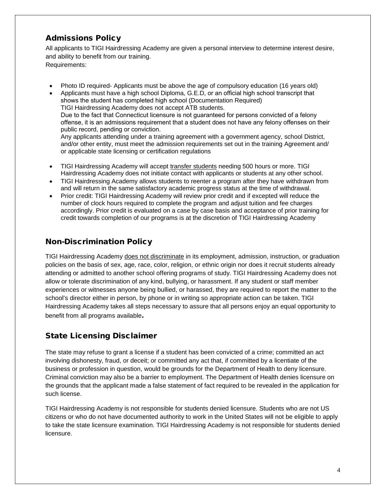# Admissions Policy

All applicants to TIGI Hairdressing Academy are given a personal interview to determine interest desire, and ability to benefit from our training.

Requirements:

- Photo ID required- Applicants must be above the age of compulsory education (16 years old)
- Applicants must have a high school Diploma, G.E.D, or an official high school transcript that shows the student has completed high school (Documentation Required) TIGI Hairdressing Academy does not accept ATB students. Due to the fact that Connecticut licensure is not guaranteed for persons convicted of a felony offense, it is an admissions requirement that a student does not have any felony offenses on their public record, pending or conviction. Any applicants attending under a training agreement with a government agency, school District, and/or other entity, must meet the admission requirements set out in the training Agreement and/ or applicable state licensing or certification regulations
- TIGI Hairdressing Academy will accept transfer students needing 500 hours or more. TIGI Hairdressing Academy does not initiate contact with applicants or students at any other school.
- TIGI Hairdressing Academy allows students to reenter a program after they have withdrawn from and will return in the same satisfactory academic progress status at the time of withdrawal.
- Prior credit: TIGI Hairdressing Academy will review prior credit and if excepted will reduce the number of clock hours required to complete the program and adjust tuition and fee charges accordingly. Prior credit is evaluated on a case by case basis and acceptance of prior training for credit towards completion of our programs is at the discretion of TIGI Hairdressing Academy

# Non-Discrimination Policy

TIGI Hairdressing Academy does not discriminate in its employment, admission, instruction, or graduation policies on the basis of sex, age, race, color, religion, or ethnic origin nor does it recruit students already attending or admitted to another school offering programs of study. TIGI Hairdressing Academy does not allow or tolerate discrimination of any kind, bullying, or harassment. If any student or staff member experiences or witnesses anyone being bullied, or harassed, they are required to report the matter to the school's director either in person, by phone or in writing so appropriate action can be taken. TIGI Hairdressing Academy takes all steps necessary to assure that all persons enjoy an equal opportunity to benefit from all programs available.

# State Licensing Disclaimer

The state may refuse to grant a license if a student has been convicted of a crime; committed an act involving dishonesty, fraud, or deceit; or committed any act that, if committed by a licentiate of the business or profession in question, would be grounds for the Department of Health to deny licensure. Criminal conviction may also be a barrier to employment. The Department of Health denies licensure on the grounds that the applicant made a false statement of fact required to be revealed in the application for such license.

TIGI Hairdressing Academy is not responsible for students denied licensure. Students who are not US citizens or who do not have documented authority to work in the United States will not be eligible to apply to take the state licensure examination. TIGI Hairdressing Academy is not responsible for students denied licensure.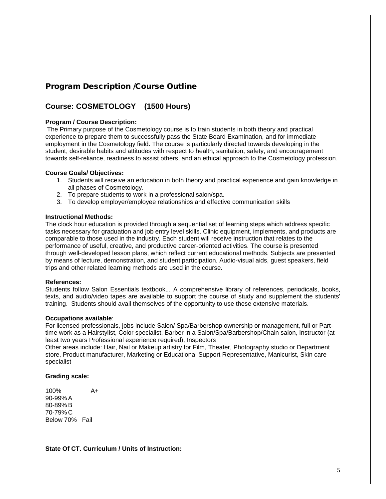# Program Description /Course Outline

# **Course: COSMETOLOGY (1500 Hours)**

#### **Program / Course Description:**

The Primary purpose of the Cosmetology course is to train students in both theory and practical experience to prepare them to successfully pass the State Board Examination, and for immediate employment in the Cosmetology field. The course is particularly directed towards developing in the student, desirable habits and attitudes with respect to health, sanitation, safety, and encouragement towards self-reliance, readiness to assist others, and an ethical approach to the Cosmetology profession.

#### **Course Goals/ Objectives:**

- 1. Students will receive an education in both theory and practical experience and gain knowledge in all phases of Cosmetology.
- 2. To prepare students to work in a professional salon/spa.
- 3. To develop employer/employee relationships and effective communication skills

#### **Instructional Methods:**

The clock hour education is provided through a sequential set of learning steps which address specific tasks necessary for graduation and job entry level skills. Clinic equipment, implements, and products are comparable to those used in the industry. Each student will receive instruction that relates to the performance of useful, creative, and productive career-oriented activities. The course is presented through well-developed lesson plans, which reflect current educational methods. Subjects are presented by means of lecture, demonstration, and student participation. Audio-visual aids, guest speakers, field trips and other related learning methods are used in the course.

#### **References:**

Students follow Salon Essentials textbook.*..* A comprehensive library of references, periodicals, books, texts, and audio/video tapes are available to support the course of study and supplement the students' training. Students should avail themselves of the opportunity to use these extensive materials.

#### **Occupations available**:

For licensed professionals, jobs include Salon/ Spa/Barbershop ownership or management, full or Parttime work as a Hairstylist, Color specialist, Barber in a Salon/Spa/Barbershop/Chain salon, Instructor (at least two years Professional experience required), Inspectors

Other areas include: Hair, Nail or Makeup artistry for Film, Theater, Photography studio or Department store, Product manufacturer, Marketing or Educational Support Representative, Manicurist, Skin care specialist

#### **Grading scale:**

100% A+ 90-99% A 80-89% B 70-79% C Below 70% Fail

**State Of CT. Curriculum / Units of Instruction:**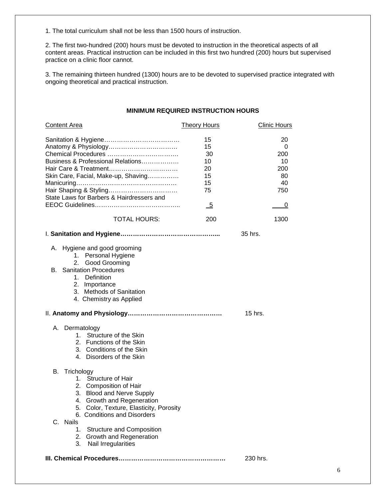1. The total curriculum shall not be less than 1500 hours of instruction.

2. The first two-hundred (200) hours must be devoted to instruction in the theoretical aspects of all content areas. Practical instruction can be included in this first two hundred (200) hours but supervised practice on a clinic floor cannot.

3. The remaining thirteen hundred (1300) hours are to be devoted to supervised practice integrated with ongoing theoretical and practical instruction.

#### **MINIMUM REQUIRED INSTRUCTION HOURS**

| <b>Content Area</b>                                                                                                                                                                                                                                                                                                                                | <b>Theory Hours</b>                                                        | <b>Clinic Hours</b>                                 |
|----------------------------------------------------------------------------------------------------------------------------------------------------------------------------------------------------------------------------------------------------------------------------------------------------------------------------------------------------|----------------------------------------------------------------------------|-----------------------------------------------------|
| Chemical Procedures<br>Business & Professional Relations<br>Skin Care, Facial, Make-up, Shaving<br>State Laws for Barbers & Hairdressers and                                                                                                                                                                                                       | 15<br>15<br>30<br>10<br>20<br>15<br>15<br>75<br>$\overline{\phantom{0}}^5$ | 20<br>0<br>200<br>10<br>200<br>80<br>40<br>750<br>0 |
| <b>TOTAL HOURS:</b>                                                                                                                                                                                                                                                                                                                                | 200                                                                        | 1300                                                |
|                                                                                                                                                                                                                                                                                                                                                    |                                                                            | 35 hrs.                                             |
| Hygiene and good grooming<br>А.<br>1. Personal Hygiene<br>Good Grooming<br>2.<br><b>Sanitation Procedures</b><br>В.<br>Definition<br>1.<br>2.<br>Importance<br>3. Methods of Sanitation<br>4. Chemistry as Applied                                                                                                                                 |                                                                            | $15$ hrs.                                           |
|                                                                                                                                                                                                                                                                                                                                                    |                                                                            |                                                     |
| A. Dermatology<br>1. Structure of the Skin<br>2. Functions of the Skin<br>3. Conditions of the Skin<br>4. Disorders of the Skin                                                                                                                                                                                                                    |                                                                            |                                                     |
| Trichology<br>В.<br>1.<br><b>Structure of Hair</b><br>2. Composition of Hair<br><b>Blood and Nerve Supply</b><br>3.<br>4.<br>Growth and Regeneration<br>5. Color, Texture, Elasticity, Porosity<br>6. Conditions and Disorders<br>C. Nails<br><b>Structure and Composition</b><br>1.<br>2.<br>Growth and Regeneration<br>3.<br>Nail Irregularities |                                                                            |                                                     |
|                                                                                                                                                                                                                                                                                                                                                    |                                                                            | 230 hrs.                                            |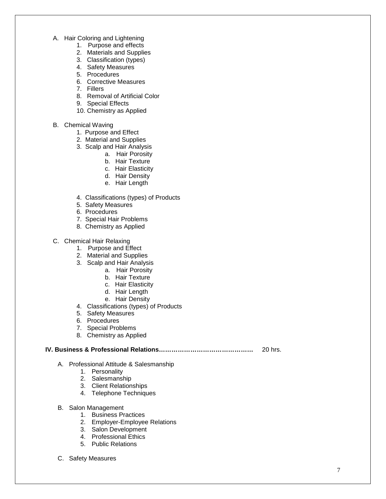- A. Hair Coloring and Lightening
	- 1. Purpose and effects
	- 2. Materials and Supplies
	- 3. Classification (types)
	- 4. Safety Measures
	- 5. Procedures
	- 6. Corrective Measures
	- 7. Fillers
	- 8. Removal of Artificial Color
	- 9. Special Effects
	- 10. Chemistry as Applied
- B. Chemical Waving
	- 1. Purpose and Effect
	- 2. Material and Supplies
	- 3. Scalp and Hair Analysis
		- a. Hair Porosity
		- b. Hair Texture
		- c. Hair Elasticity
		- d. Hair Density
		- e. Hair Length
	- 4. Classifications (types) of Products
	- 5. Safety Measures
	- 6. Procedures
	- 7. Special Hair Problems
	- 8. Chemistry as Applied
- C. Chemical Hair Relaxing
	- 1. Purpose and Effect
	- 2. Material and Supplies
	- 3. Scalp and Hair Analysis
		- a. Hair Porosity
		- b. Hair Texture
		- c. Hair Elasticity
		- d. Hair Length
		- e. Hair Density
	- 4. Classifications (types) of Products
	- 5. Safety Measures
	- 6. Procedures
	- 7. Special Problems
	- 8. Chemistry as Applied

#### **IV. Business & Professional Relations………………………………………** 20 hrs.

- A. Professional Attitude & Salesmanship
	- 1. Personality
		- 2. Salesmanship
		- 3. Client Relationships
		- 4. Telephone Techniques
- B. Salon Management
	- 1. Business Practices
	- 2. Employer-Employee Relations
	- 3. Salon Development
	- 4. Professional Ethics
	- 5. Public Relations
- C. Safety Measures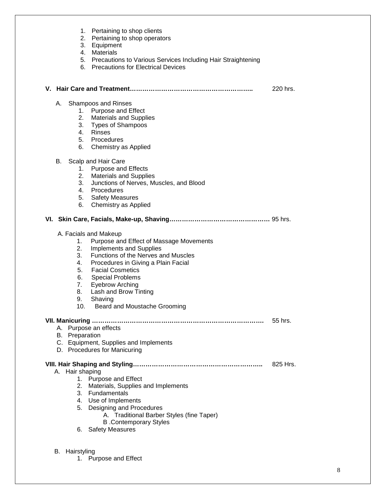|    |                                                           | 1. Pertaining to shop clients<br>2. Pertaining to shop operators<br>3. Equipment<br>4. Materials<br>5. Precautions to Various Services Including Hair Straightening<br>6. Precautions for Electrical Devices                                                                                                                                |          |
|----|-----------------------------------------------------------|---------------------------------------------------------------------------------------------------------------------------------------------------------------------------------------------------------------------------------------------------------------------------------------------------------------------------------------------|----------|
|    |                                                           |                                                                                                                                                                                                                                                                                                                                             | 220 hrs. |
| А. | 6.                                                        | <b>Shampoos and Rinses</b><br>1. Purpose and Effect<br>2. Materials and Supplies<br>3. Types of Shampoos<br>4. Rinses<br>5. Procedures<br>Chemistry as Applied                                                                                                                                                                              |          |
| В. | 3.<br>6.                                                  | Scalp and Hair Care<br><b>Purpose and Effects</b><br>2. Materials and Supplies<br>Junctions of Nerves, Muscles, and Blood<br>4. Procedures<br>5. Safety Measures<br>Chemistry as Applied                                                                                                                                                    |          |
|    |                                                           |                                                                                                                                                                                                                                                                                                                                             |          |
|    | 1.<br>2.<br>3.<br>4.<br>5.<br>6.<br>7.<br>8.<br>9.<br>10. | A. Facials and Makeup<br>Purpose and Effect of Massage Movements<br><b>Implements and Supplies</b><br>Functions of the Nerves and Muscles<br>Procedures in Giving a Plain Facial<br><b>Facial Cosmetics</b><br><b>Special Problems</b><br><b>Eyebrow Arching</b><br>Lash and Brow Tinting<br>Shaving<br><b>Beard and Moustache Grooming</b> |          |
|    | <b>B.</b> Preparation                                     | A. Purpose an effects<br>C. Equipment, Supplies and Implements<br>D. Procedures for Manicuring                                                                                                                                                                                                                                              | 55 hrs.  |
|    | A. Hair shaping<br>6.                                     | 1. Purpose and Effect<br>2. Materials, Supplies and Implements<br>3. Fundamentals<br>4. Use of Implements<br>5. Designing and Procedures<br>A. Traditional Barber Styles (fine Taper)<br><b>B</b> .Contemporary Styles<br><b>Safety Measures</b>                                                                                            | 825 Hrs. |
|    | B. Hairstyling                                            | 1. Purpose and Effect                                                                                                                                                                                                                                                                                                                       |          |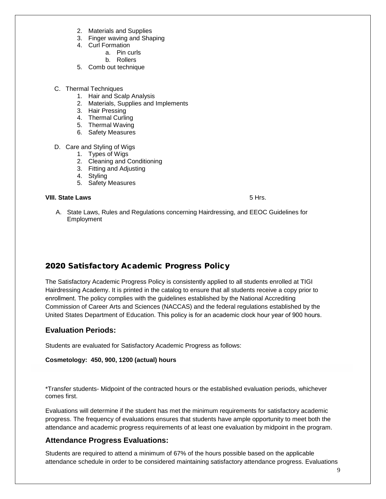- 2. Materials and Supplies
- 3. Finger waving and Shaping
- 4. Curl Formation
	- a. Pin curls
		- b. Rollers
- 5. Comb out technique
- C. Thermal Techniques
	- 1. Hair and Scalp Analysis
	- 2. Materials, Supplies and Implements
	- 3. Hair Pressing
	- 4. Thermal Curling
	- 5. Thermal Waving
	- 6. Safety Measures
- D. Care and Styling of Wigs
	- 1. Types of Wigs
	- 2. Cleaning and Conditioning
	- 3. Fitting and Adjusting
	- 4. Styling
	- 5. Safety Measures

#### **VIII. State Laws** 5 Hrs.

A. State Laws, Rules and Regulations concerning Hairdressing, and EEOC Guidelines for Employment

### 2020 Satisfactory Academic Progress Policy

The Satisfactory Academic Progress Policy is consistently applied to all students enrolled at TIGI Hairdressing Academy. It is printed in the catalog to ensure that all students receive a copy prior to enrollment. The policy complies with the guidelines established by the National Accrediting Commission of Career Arts and Sciences (NACCAS) and the federal regulations established by the United States Department of Education. This policy is for an academic clock hour year of 900 hours.

#### **Evaluation Periods:**

Students are evaluated for Satisfactory Academic Progress as follows:

**Cosmetology: 450, 900, 1200 (actual) hours**

\*Transfer students- Midpoint of the contracted hours or the established evaluation periods, whichever comes first.

Evaluations will determine if the student has met the minimum requirements for satisfactory academic progress. The frequency of evaluations ensures that students have ample opportunity to meet both the attendance and academic progress requirements of at least one evaluation by midpoint in the program.

#### **Attendance Progress Evaluations:**

Students are required to attend a minimum of 67% of the hours possible based on the applicable attendance schedule in order to be considered maintaining satisfactory attendance progress. Evaluations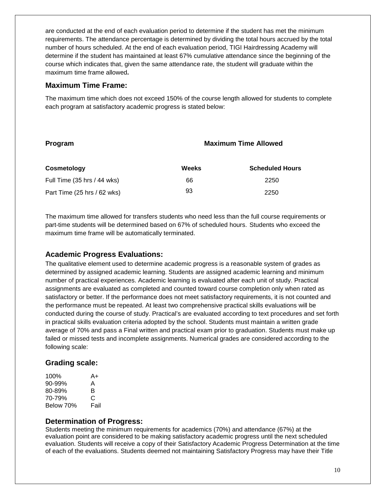are conducted at the end of each evaluation period to determine if the student has met the minimum requirements. The attendance percentage is determined by dividing the total hours accrued by the total number of hours scheduled. At the end of each evaluation period, TIGI Hairdressing Academy will determine if the student has maintained at least 67% cumulative attendance since the beginning of the course which indicates that, given the same attendance rate, the student will graduate within the maximum time frame allowed**.** 

#### **Maximum Time Frame:**

The maximum time which does not exceed 150% of the course length allowed for students to complete each program at satisfactory academic progress is stated below:

| Program                     | <b>Maximum Time Allowed</b> |                        |  |
|-----------------------------|-----------------------------|------------------------|--|
| Cosmetology                 | Weeks                       | <b>Scheduled Hours</b> |  |
| Full Time (35 hrs / 44 wks) | 66                          | 2250                   |  |
| Part Time (25 hrs / 62 wks) | 93                          | 2250                   |  |

The maximum time allowed for transfers students who need less than the full course requirements or part-time students will be determined based on 67% of scheduled hours. Students who exceed the maximum time frame will be automatically terminated.

### **Academic Progress Evaluations:**

The qualitative element used to determine academic progress is a reasonable system of grades as determined by assigned academic learning. Students are assigned academic learning and minimum number of practical experiences. Academic learning is evaluated after each unit of study. Practical assignments are evaluated as completed and counted toward course completion only when rated as satisfactory or better. If the performance does not meet satisfactory requirements, it is not counted and the performance must be repeated. At least two comprehensive practical skills evaluations will be conducted during the course of study. Practical's are evaluated according to text procedures and set forth in practical skills evaluation criteria adopted by the school. Students must maintain a written grade average of 70% and pass a Final written and practical exam prior to graduation. Students must make up failed or missed tests and incomplete assignments. Numerical grades are considered according to the following scale:

### **Grading scale:**

| A+   |
|------|
| А    |
| в    |
| C    |
| Fail |
|      |

#### **Determination of Progress:**

Students meeting the minimum requirements for academics (70%) and attendance (67%) at the evaluation point are considered to be making satisfactory academic progress until the next scheduled evaluation. Students will receive a copy of their Satisfactory Academic Progress Determination at the time of each of the evaluations. Students deemed not maintaining Satisfactory Progress may have their Title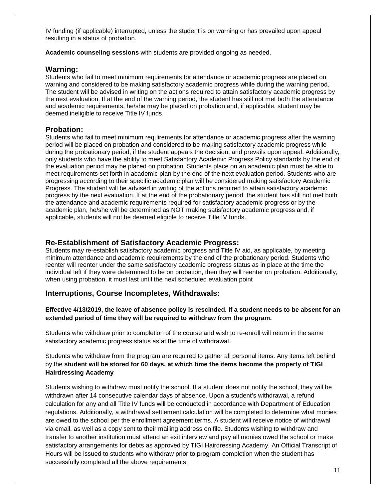IV funding (if applicable) interrupted, unless the student is on warning or has prevailed upon appeal resulting in a status of probation.

**Academic counseling sessions** with students are provided ongoing as needed.

#### **Warning:**

Students who fail to meet minimum requirements for attendance or academic progress are placed on warning and considered to be making satisfactory academic progress while during the warning period. The student will be advised in writing on the actions required to attain satisfactory academic progress by the next evaluation. If at the end of the warning period, the student has still not met both the attendance and academic requirements, he/she may be placed on probation and, if applicable, student may be deemed ineligible to receive Title IV funds.

#### **Probation:**

Students who fail to meet minimum requirements for attendance or academic progress after the warning period will be placed on probation and considered to be making satisfactory academic progress while during the probationary period, if the student appeals the decision, and prevails upon appeal. Additionally, only students who have the ability to meet Satisfactory Academic Progress Policy standards by the end of the evaluation period may be placed on probation. Students place on an academic plan must be able to meet requirements set forth in academic plan by the end of the next evaluation period. Students who are progressing according to their specific academic plan will be considered making satisfactory Academic Progress. The student will be advised in writing of the actions required to attain satisfactory academic progress by the next evaluation. If at the end of the probationary period, the student has still not met both the attendance and academic requirements required for satisfactory academic progress or by the academic plan, he/she will be determined as NOT making satisfactory academic progress and, if applicable, students will not be deemed eligible to receive Title IV funds.

#### **Re-Establishment of Satisfactory Academic Progress:**

Students may re-establish satisfactory academic progress and Title IV aid, as applicable, by meeting minimum attendance and academic requirements by the end of the probationary period. Students who reenter will reenter under the same satisfactory academic progress status as in place at the time the individual left if they were determined to be on probation, then they will reenter on probation. Additionally, when using probation, it must last until the next scheduled evaluation point

#### **Interruptions, Course Incompletes, Withdrawals:**

#### **Effective 4/13/2019, the leave of absence policy is rescinded. If a student needs to be absent for an extended period of time they will be required to withdraw from the program.**

Students who withdraw prior to completion of the course and wish to re-enroll will return in the same satisfactory academic progress status as at the time of withdrawal.

Students who withdraw from the program are required to gather all personal items. Any items left behind by the **student will be stored for 60 days, at which time the items become the property of TIGI Hairdressing Academy** 

Students wishing to withdraw must notify the school. If a student does not notify the school, they will be withdrawn after 14 consecutive calendar days of absence. Upon a student's withdrawal, a refund calculation for any and all Title IV funds will be conducted in accordance with Department of Education regulations. Additionally, a withdrawal settlement calculation will be completed to determine what monies are owed to the school per the enrollment agreement terms. A student will receive notice of withdrawal via email, as well as a copy sent to their mailing address on file. Students wishing to withdraw and transfer to another institution must attend an exit interview and pay all monies owed the school or make satisfactory arrangements for debts as approved by TIGI Hairdressing Academy. An Official Transcript of Hours will be issued to students who withdraw prior to program completion when the student has successfully completed all the above requirements.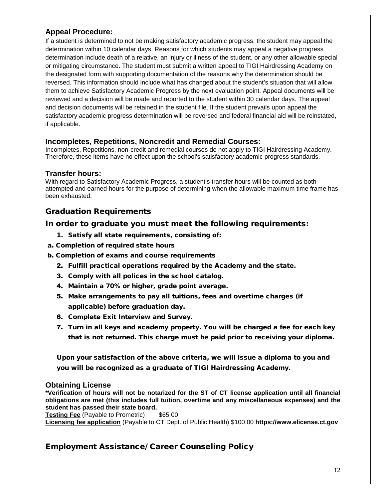#### **Appeal Procedure:**

If a student is determined to not be making satisfactory academic progress, the student may appeal the determination within 10 calendar days. Reasons for which students may appeal a negative progress determination include death of a relative, an injury or illness of the student, or any other allowable special or mitigating circumstance. The student must submit a written appeal to TIGI Hairdressing Academy on the designated form with supporting documentation of the reasons why the determination should be reversed. This information should include what has changed about the student's situation that will allow them to achieve Satisfactory Academic Progress by the next evaluation point. Appeal documents will be reviewed and a decision will be made and reported to the student within 30 calendar days. The appeal and decision documents will be retained in the student file. If the student prevails upon appeal the satisfactory academic progress determination will be reversed and federal financial aid will be reinstated, if applicable.

#### **Incompletes, Repetitions, Noncredit and Remedial Courses:**

Incompletes, Repetitions, non-credit and remedial courses do not apply to TIGI Hairdressing Academy. Therefore, these items have no effect upon the school's satisfactory academic progress standards.

#### **Transfer hours:**

With regard to Satisfactory Academic Progress, a student's transfer hours will be counted as both attempted and earned hours for the purpose of determining when the allowable maximum time frame has been exhausted.

#### Graduation Requirements

#### In order to graduate you must meet the following requirements:

- 1. Satisfy all state requirements, consisting of:
- a. Completion of required state hours
- b. Completion of exams and course requirements
	- 2. Fulfill practical operations required by the Academy and the state.
	- 3. Comply with all polices in the school catalog.
	- 4. Maintain a 70% or higher, grade point average.
	- 5. Make arrangements to pay all tuitions, fees and overtime charges (if applicable) before graduation day.
	- 6. Complete Exit Interview and Survey.
	- 7. Turn in all keys and academy property. You will be charged a fee for each key that is not returned. This charge must be paid prior to receiving your diploma.

Upon your satisfaction of the above criteria, we will issue a diploma to you and you will be recognized as a graduate of TIGI Hairdressing Academy.

#### **Obtaining License**

**\*Verification of hours will not be notarized for the ST of CT license application until all financial obligations are met (this includes full tuition, overtime and any miscellaneous expenses) and the student has passed their state board.**

**Testing Fee** (Payable to Prometric) \$65.00

**Licensing fee application** (Payable to CT Dept. of Public Health) \$100.00 **https://www.elicense.ct.gov**

### Employment Assistance/ Career Counseling Policy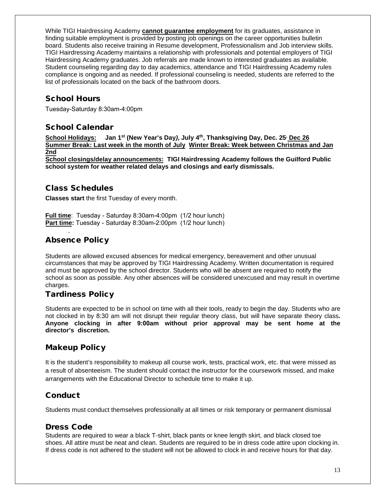While TIGI Hairdressing Academy **cannot guarantee employment** for its graduates, assistance in finding suitable employment is provided by posting job openings on the career opportunities bulletin board. Students also receive training in Resume development, Professionalism and Job interview skills. TIGI Hairdressing Academy maintains a relationship with professionals and potential employers of TIGI Hairdressing Academy graduates. Job referrals are made known to interested graduates as available. Student counseling regarding day to day academics, attendance and TIGI Hairdressing Academy rules compliance is ongoing and as needed. If professional counseling is needed, students are referred to the list of professionals located on the back of the bathroom doors.

# School Hours

Tuesday-Saturday 8:30am-4:00pm

### School Calendar

**School Holidays:****Jan 1st (New Year's Day***)***, July 4th , Thanksgiving Day, Dec. 25, Dec 26 Summer Break: Last week in the month of July Winter Break: Week between Christmas and Jan 2nd** 

**School closings/delay announcements: TIGI Hairdressing Academy follows the Guilford Public school system for weather related delays and closings and early dismissals.**

### Class Schedules

**Classes start** the first Tuesday of every month.

**Full time**: Tuesday - Saturday 8:30am-4:00pm (1/2 hour lunch) **Part time:** Tuesday - Saturday 8:30am-2:00pm (1/2 hour lunch)

# Absence Policy

.

Students are allowed excused absences for medical emergency, bereavement and other unusual circumstances that may be approved by TIGI Hairdressing Academy. Written documentation is required and must be approved by the school director. Students who will be absent are required to notify the school as soon as possible. Any other absences will be considered unexcused and may result in overtime charges.

# Tardiness Policy

Students are expected to be in school on time with all their tools, ready to begin the day. Students who are not clocked in by 8:30 am will not disrupt their regular theory class, but will have separate theory class**. Anyone clocking in after 9:00am without prior approval may be sent home at the director's discretion.** 

# Makeup Policy

It is the student's responsibility to makeup all course work, tests, practical work, etc. that were missed as a result of absenteeism. The student should contact the instructor for the coursework missed, and make arrangements with the Educational Director to schedule time to make it up.

# Conduct

Students must conduct themselves professionally at all times or risk temporary or permanent dismissal

#### Dress Code

Students are required to wear a black T-shirt, black pants or knee length skirt, and black closed toe shoes. All attire must be neat and clean. Students are required to be in dress code attire upon clocking in. If dress code is not adhered to the student will not be allowed to clock in and receive hours for that day.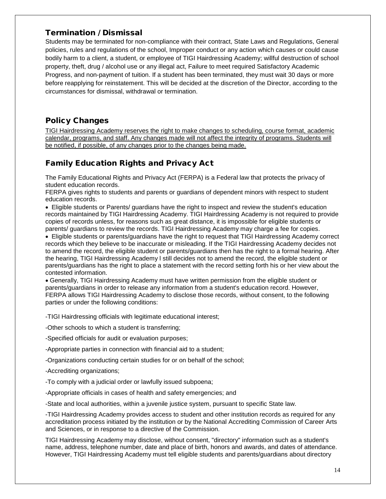#### Termination / Dismissal

Students may be terminated for non-compliance with their contract, State Laws and Regulations, General policies, rules and regulations of the school, Improper conduct or any action which causes or could cause bodily harm to a client, a student, or employee of TIGI Hairdressing Academy; willful destruction of school property, theft, drug / alcohol use or any illegal act, Failure to meet required Satisfactory Academic Progress, and non-payment of tuition. If a student has been terminated, they must wait 30 days or more before reapplying for reinstatement. This will be decided at the discretion of the Director, according to the circumstances for dismissal, withdrawal or termination.

### Policy Changes

TIGI Hairdressing Academy reserves the right to make changes to scheduling, course format, academic calendar, programs, and staff. Any changes made will not affect the integrity of programs. Students will be notified, if possible, of any changes prior to the changes being made.

# Family Education Rights and Privacy Act

The Family Educational Rights and Privacy Act (FERPA) is a Federal law that protects the privacy of student education records.

FERPA gives rights to students and parents or guardians of dependent minors with respect to student education records.

• Eligible students or Parents/ guardians have the right to inspect and review the student's education records maintained by TIGI Hairdressing Academy. TIGI Hairdressing Academy is not required to provide copies of records unless, for reasons such as great distance, it is impossible for eligible students or parents/ guardians to review the records. TIGI Hairdressing Academy may charge a fee for copies.

• Eligible students or parents/guardians have the right to request that TIGI Hairdressing Academy correct records which they believe to be inaccurate or misleading. If the TIGI Hairdressing Academy decides not to amend the record, the eligible student or parents/guardians then has the right to a formal hearing. After the hearing, TIGI Hairdressing Academy l still decides not to amend the record, the eligible student or parents/guardians has the right to place a statement with the record setting forth his or her view about the contested information.

• Generally, TIGI Hairdressing Academy must have written permission from the eligible student or parents/guardians in order to release any information from a student's education record. However, FERPA allows TIGI Hairdressing Academy to disclose those records, without consent, to the following parties or under the following conditions:

-TIGI Hairdressing officials with legitimate educational interest;

-Other schools to which a student is transferring;

-Specified officials for audit or evaluation purposes;

-Appropriate parties in connection with financial aid to a student;

-Organizations conducting certain studies for or on behalf of the school;

-Accrediting organizations;

-To comply with a judicial order or lawfully issued subpoena;

-Appropriate officials in cases of health and safety emergencies; and

-State and local authorities, within a juvenile justice system, pursuant to specific State law.

-TIGI Hairdressing Academy provides access to student and other institution records as required for any accreditation process initiated by the institution or by the National Accrediting Commission of Career Arts and Sciences, or in response to a directive of the Commission.

TIGI Hairdressing Academy may disclose, without consent, "directory" information such as a student's name, address, telephone number, date and place of birth, honors and awards, and dates of attendance. However, TIGI Hairdressing Academy must tell eligible students and parents/guardians about directory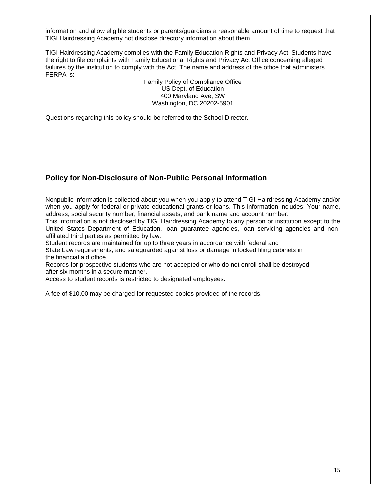information and allow eligible students or parents/guardians a reasonable amount of time to request that TIGI Hairdressing Academy not disclose directory information about them.

TIGI Hairdressing Academy complies with the Family Education Rights and Privacy Act. Students have the right to file complaints with Family Educational Rights and Privacy Act Office concerning alleged failures by the institution to comply with the Act. The name and address of the office that administers FERPA is:

> Family Policy of Compliance Office US Dept. of Education 400 Maryland Ave, SW Washington, DC 20202-5901

Questions regarding this policy should be referred to the School Director.

#### **Policy for Non-Disclosure of Non-Public Personal Information**

Nonpublic information is collected about you when you apply to attend TIGI Hairdressing Academy and/or when you apply for federal or private educational grants or loans. This information includes: Your name, address, social security number, financial assets, and bank name and account number.

This information is not disclosed by TIGI Hairdressing Academy to any person or institution except to the United States Department of Education, loan guarantee agencies, loan servicing agencies and nonaffiliated third parties as permitted by law.

Student records are maintained for up to three years in accordance with federal and State Law requirements, and safeguarded against loss or damage in locked filing cabinets in the financial aid office.

Records for prospective students who are not accepted or who do not enroll shall be destroyed after six months in a secure manner.

Access to student records is restricted to designated employees.

A fee of \$10.00 may be charged for requested copies provided of the records.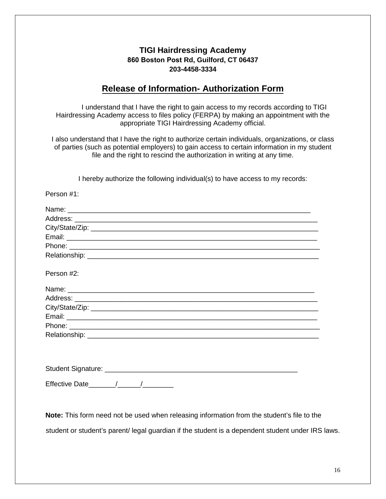# **TIGI Hairdressing Academy 860 Boston Post Rd, Guilford, CT 06437 203-4458-3334**

# **Release of Information- Authorization Form**

I understand that I have the right to gain access to my records according to TIGI Hairdressing Academy access to files policy (FERPA) by making an appointment with the appropriate TIGI Hairdressing Academy official.

I also understand that I have the right to authorize certain individuals, organizations, or class of parties (such as potential employers) to gain access to certain information in my student file and the right to rescind the authorization in writing at any time.

I hereby authorize the following individual(s) to have access to my records:

| Person #1:                                                                                       |  |
|--------------------------------------------------------------------------------------------------|--|
|                                                                                                  |  |
|                                                                                                  |  |
|                                                                                                  |  |
|                                                                                                  |  |
|                                                                                                  |  |
|                                                                                                  |  |
| Person #2:                                                                                       |  |
|                                                                                                  |  |
|                                                                                                  |  |
|                                                                                                  |  |
|                                                                                                  |  |
|                                                                                                  |  |
|                                                                                                  |  |
|                                                                                                  |  |
|                                                                                                  |  |
|                                                                                                  |  |
| Note: This form need not be used when releasing information from the student's file to the       |  |
| student or student's parent/legal guardian if the student is a dependent student under IRS laws. |  |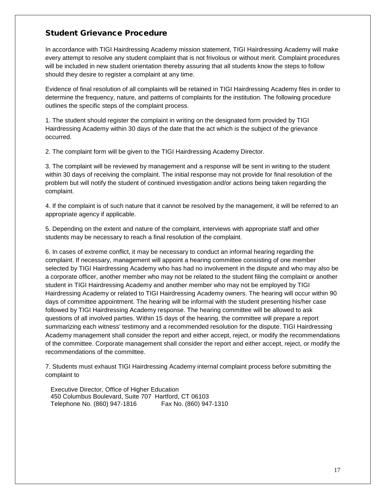### Student Grievance Procedure

In accordance with TIGI Hairdressing Academy mission statement, TIGI Hairdressing Academy will make every attempt to resolve any student complaint that is not frivolous or without merit. Complaint procedures will be included in new student orientation thereby assuring that all students know the steps to follow should they desire to register a complaint at any time.

Evidence of final resolution of all complaints will be retained in TIGI Hairdressing Academy files in order to determine the frequency, nature, and patterns of complaints for the institution. The following procedure outlines the specific steps of the complaint process.

1. The student should register the complaint in writing on the designated form provided by TIGI Hairdressing Academy within 30 days of the date that the act which is the subject of the grievance occurred.

2. The complaint form will be given to the TIGI Hairdressing Academy Director.

3. The complaint will be reviewed by management and a response will be sent in writing to the student within 30 days of receiving the complaint. The initial response may not provide for final resolution of the problem but will notify the student of continued investigation and/or actions being taken regarding the complaint.

4. If the complaint is of such nature that it cannot be resolved by the management, it will be referred to an appropriate agency if applicable.

5. Depending on the extent and nature of the complaint, interviews with appropriate staff and other students may be necessary to reach a final resolution of the complaint.

6. In cases of extreme conflict, it may be necessary to conduct an informal hearing regarding the complaint. If necessary, management will appoint a hearing committee consisting of one member selected by TIGI Hairdressing Academy who has had no involvement in the dispute and who may also be a corporate officer, another member who may not be related to the student filing the complaint or another student in TIGI Hairdressing Academy and another member who may not be employed by TIGI Hairdressing Academy or related to TIGI Hairdressing Academy owners. The hearing will occur within 90 days of committee appointment. The hearing will be informal with the student presenting his/her case followed by TIGI Hairdressing Academy response. The hearing committee will be allowed to ask questions of all involved parties. Within 15 days of the hearing, the committee will prepare a report summarizing each witness' testimony and a recommended resolution for the dispute. TIGI Hairdressing Academy management shall consider the report and either accept, reject, or modify the recommendations of the committee. Corporate management shall consider the report and either accept, reject, or modify the recommendations of the committee.

7. Students must exhaust TIGI Hairdressing Academy internal complaint process before submitting the complaint to

Executive Director, Office of Higher Education 450 Columbus Boulevard, Suite 707 Hartford, CT 06103 Telephone No. (860) 947-1816 Fax No. (860) 947-1310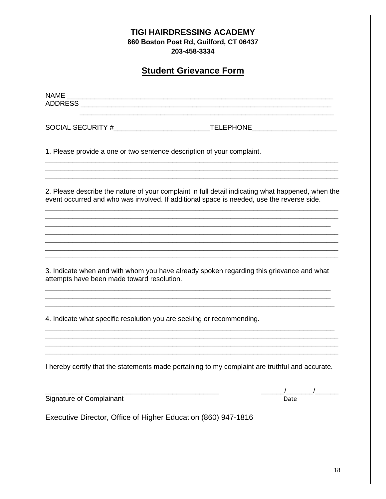|                                                                        | <b>TIGI HAIRDRESSING ACADEMY</b><br>860 Boston Post Rd, Guilford, CT 06437<br>203-458-3334                                                                                                     |
|------------------------------------------------------------------------|------------------------------------------------------------------------------------------------------------------------------------------------------------------------------------------------|
|                                                                        | <b>Student Grievance Form</b>                                                                                                                                                                  |
|                                                                        |                                                                                                                                                                                                |
|                                                                        |                                                                                                                                                                                                |
| 1. Please provide a one or two sentence description of your complaint. |                                                                                                                                                                                                |
|                                                                        | 2. Please describe the nature of your complaint in full detail indicating what happened, when the<br>event occurred and who was involved. If additional space is needed, use the reverse side. |
|                                                                        |                                                                                                                                                                                                |
| attempts have been made toward resolution.                             | 3. Indicate when and with whom you have already spoken regarding this grievance and what                                                                                                       |
| 4. Indicate what specific resolution you are seeking or recommending.  |                                                                                                                                                                                                |
|                                                                        | I hereby certify that the statements made pertaining to my complaint are truthful and accurate.                                                                                                |
| Signature of Complainant                                               | Date                                                                                                                                                                                           |

Executive Director, Office of Higher Education (860) 947-1816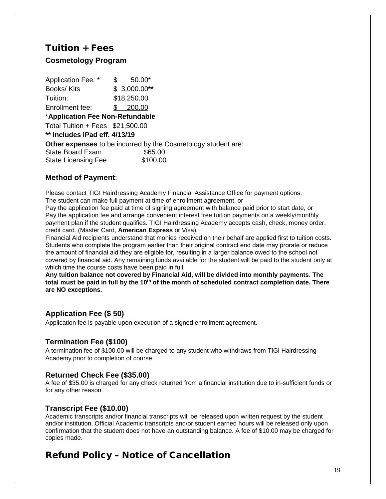# Tuition + Fees

# **Cosmetology Program**

Application Fee:  $*$  \$ 50.00\* Books/ Kits \$ 3,000.00**\*\*** Tuition: \$18,250.00 Enrollment fee: \$ 200.00 \***Application Fee Non-Refundable** Total Tuition + Fees \$21,500.00 **\*\* Includes iPad eff. 4/13/19 Other expenses** to be incurred by the Cosmetology student are: State Board Exam \$65.00 State Licensing Fee \$100.00

#### **Method of Payment**:

Please contact TIGI Hairdressing Academy Financial Assistance Office for payment options. The student can make full payment at time of enrollment agreement, or

Pay the application fee paid at time of signing agreement with balance paid prior to start date, or Pay the application fee and arrange convenient interest free tuition payments on a weekly/monthly payment plan if the student qualifies. TIGI Hairdressing Academy accepts cash, check, money order, credit card. (Master Card, **American Express** or Visa).

Financial Aid recipients understand that monies received on their behalf are applied first to tuition costs. Students who complete the program earlier than their original contract end date may prorate or reduce the amount of financial aid they are eligible for, resulting in a larger balance owed to the school not covered by financial aid. Any remaining funds available for the student will be paid to the student only at which time the course costs have been paid in full.

**Any tuition balance not covered by Financial Aid, will be divided into monthly payments. The total must be paid in full by the 10 th of the month of scheduled contract completion date. There are NO exceptions.**

# **Application Fee (\$ 50)**

Application fee is payable upon execution of a signed enrollment agreement.

### **Termination Fee (\$100)**

A termination fee of \$100.00 will be charged to any student who withdraws from TIGI Hairdressing Academy prior to completion of course.

#### **Returned Check Fee (\$35.00)**

A fee of \$35.00 is charged for any check returned from a financial institution due to in-sufficient funds or for any other reason.

#### **Transcript Fee (\$10.00)**

Academic transcripts and/or financial transcripts will be released upon written request by the student and/or institution. Official Academic transcripts and/or student earned hours will be released only upon confirmation that the student does not have an outstanding balance. A fee of \$10.00 may be charged for copies made.

# Refund Policy – Notice of Cancellation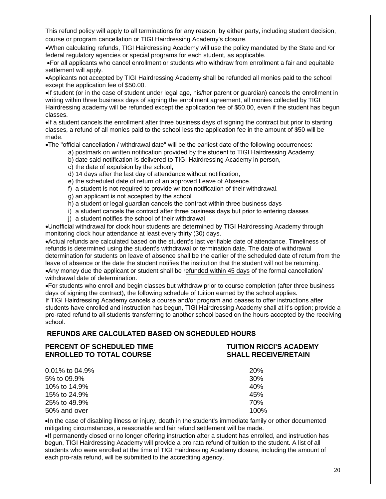This refund policy will apply to all terminations for any reason, by either party, including student decision, course or program cancellation or TIGI Hairdressing Academy's closure.

•When calculating refunds, TIGI Hairdressing Academy will use the policy mandated by the State and /or federal regulatory agencies or special programs for each student, as applicable.

•For all applicants who cancel enrollment or students who withdraw from enrollment a fair and equitable settlement will apply.

•Applicants not accepted by TIGI Hairdressing Academy shall be refunded all monies paid to the school except the application fee of \$50.00.

•If student (or in the case of student under legal age, his/her parent or guardian) cancels the enrollment in writing within three business days of signing the enrollment agreement, all monies collected by TIGI Hairdressing academy will be refunded except the application fee of \$50.00, even if the student has begun classes.

•If a student cancels the enrollment after three business days of signing the contract but prior to starting classes, a refund of all monies paid to the school less the application fee in the amount of \$50 will be made.

•The "official cancellation / withdrawal date" will be the earliest date of the following occurrences:

- a) postmark on written notification provided by the student to TIGI Hairdressing Academy.
	- b) date said notification is delivered to TIGI Hairdressing Academy in person,
- c) the date of expulsion by the school,
- d) 14 days after the last day of attendance without notification,
- e) the scheduled date of return of an approved Leave of Absence.
- f) a student is not required to provide written notification of their withdrawal.
- g) an applicant is not accepted by the school
- h) a student or legal guardian cancels the contract within three business days
- i) a student cancels the contract after three business days but prior to entering classes
- j) a student notifies the school of their withdrawal

•Unofficial withdrawal for clock hour students are determined by TIGI Hairdressing Academy through monitoring clock hour attendance at least every thirty (30) days.

•Actual refunds are calculated based on the student's last verifiable date of attendance. Timeliness of refunds is determined using the student's withdrawal or termination date. The date of withdrawal determination for students on leave of absence shall be the earlier of the scheduled date of return from the leave of absence or the date the student notifies the institution that the student will not be returning. •Any money due the applicant or student shall be refunded within 45 days of the formal cancellation/ withdrawal date of determination.

•For students who enroll and begin classes but withdraw prior to course completion (after three business days of signing the contract), the following schedule of tuition earned by the school applies.

If TIGI Hairdressing Academy cancels a course and/or program and ceases to offer instructions after students have enrolled and instruction has begun, TIGI Hairdressing Academy shall at it's option; provide a pro-rated refund to all students transferring to another school based on the hours accepted by the receiving school.

#### **REFUNDS ARE CALCULATED BASED ON SCHEDULED HOURS**

#### **PERCENT OF SCHEDULED TIME TUITION RICCI'S ACADEMY ENROLLED TO TOTAL COURSE SHALL RECEIVE/RETAIN**

| 0.01% to 04.9% | 20%             |
|----------------|-----------------|
| 5% to 09.9%    | 30 <sup>%</sup> |
| 10% to 14.9%   | 40%             |
| 15% to 24.9%   | 45%             |
| 25% to 49.9%   | 70%             |
| 50% and over   | 100%            |

•In the case of disabling illness or injury, death in the student's immediate family or other documented mitigating circumstances, a reasonable and fair refund settlement will be made.

•If permanently closed or no longer offering instruction after a student has enrolled, and instruction has begun, TIGI Hairdressing Academy will provide a pro rata refund of tuition to the student. A list of all students who were enrolled at the time of TIGI Hairdressing Academy closure, including the amount of each pro-rata refund, will be submitted to the accrediting agency.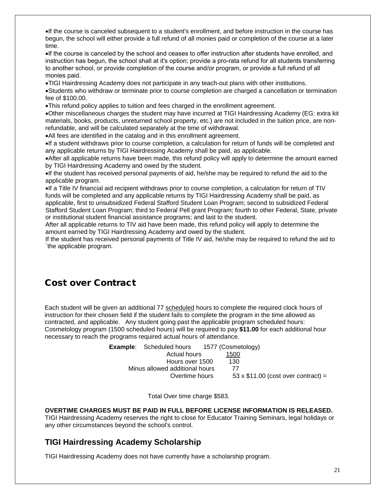•If the course is canceled subsequent to a student's enrollment, and before instruction in the course has begun, the school will either provide a full refund of all monies paid or completion of the course at a later time.

•If the course is canceled by the school and ceases to offer instruction after students have enrolled, and instruction has begun, the school shall at it's option; provide a pro-rata refund for all students transferring to another school, or provide completion of the course and/or program, or provide a full refund of all monies paid.

•TIGI Hairdressing Academy does not participate in any teach-out plans with other institutions.

•Students who withdraw or terminate prior to course completion are charged a cancellation or termination fee of \$100.00.

•This refund policy applies to tuition and fees charged in the enrollment agreement.

•Other miscellaneous charges the student may have incurred at TIGI Hairdressing Academy (EG: extra kit materials, books, products, unreturned school property, etc.) are not included in the tuition price, are nonrefundable, and will be calculated separately at the time of withdrawal.

•All fees are identified in the catalog and in this enrollment agreement.

•If a student withdraws prior to course completion, a calculation for return of funds will be completed and any applicable returns by TIGI Hairdressing Academy shall be paid, as applicable.

•After all applicable returns have been made, this refund policy will apply to determine the amount earned by TIGI Hairdressing Academy and owed by the student.

•If the student has received personal payments of aid, he/she may be required to refund the aid to the applicable program.

•If a Title IV financial aid recipient withdraws prior to course completion, a calculation for return of TIV funds will be completed and any applicable returns by TIGI Hairdressing Academy shall be paid, as applicable, first to unsubsidized Federal Stafford Student Loan Program; second to subsidized Federal Stafford Student Loan Program; third to Federal Pell grant Program; fourth to other Federal, State, private or institutional student financial assistance programs; and last to the student.

After all applicable returns to TIV aid have been made, this refund policy will apply to determine the amount earned by TIGI Hairdressing Academy and owed by the student.

If the student has received personal payments of Title IV aid, he/she may be required to refund the aid to `the applicable program.

# Cost over Contract

Each student will be given an additional 77 scheduled hours to complete the required clock hours of instruction for their chosen field if the student fails to complete the program in the time allowed as contracted, and applicable. Any student going past the applicable program scheduled hours: Cosmetology program (1500 scheduled hours) will be required to pay **\$11.00** for each additional hour necessary to reach the programs required actual hours of attendance.

| 1577 (Cosmetology)<br><b>Example:</b> Scheduled hours       |
|-------------------------------------------------------------|
| Actual hours<br>1500                                        |
| 130<br>Hours over 1500                                      |
| Minus allowed additional hours<br>77                        |
| $53 \times $11.00$ (cost over contract) =<br>Overtime hours |
|                                                             |

Total Over time charge \$583.

#### **OVERTIME CHARGES MUST BE PAID IN FULL BEFORE LICENSE INFORMATION IS RELEASED.**

TIGI Hairdressing Academy reserves the right to close for Educator Training Seminars, legal holidays or any other circumstances beyond the school's control.

### **TIGI Hairdressing Academy Scholarship**

TIGI Hairdressing Academy does not have currently have a scholarship program.